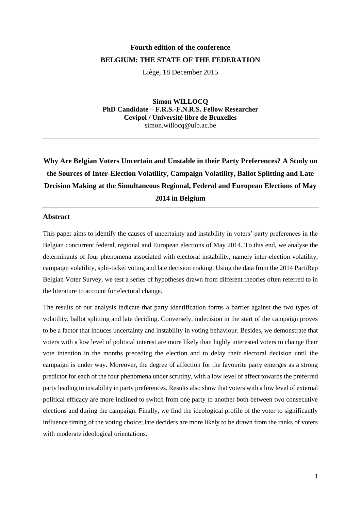# **Fourth edition of the conference BELGIUM: THE STATE OF THE FEDERATION**

Liège, 18 December 2015

**Simon WILLOCQ PhD Candidate – F.R.S.-F.N.R.S. Fellow Researcher Cevipol / Université libre de Bruxelles** simon.willocq@ulb.ac.be

# **Why Are Belgian Voters Uncertain and Unstable in their Party Preferences? A Study on the Sources of Inter-Election Volatility, Campaign Volatility, Ballot Splitting and Late Decision Making at the Simultaneous Regional, Federal and European Elections of May 2014 in Belgium**

# **Abstract**

This paper aims to identify the causes of uncertainty and instability in voters' party preferences in the Belgian concurrent federal, regional and European elections of May 2014. To this end, we analyse the determinants of four phenomena associated with electoral instability, namely inter-election volatility, campaign volatility, split-ticket voting and late decision making. Using the data from the 2014 PartiRep Belgian Voter Survey, we test a series of hypotheses drawn from different theories often referred to in the literature to account for electoral change.

The results of our analysis indicate that party identification forms a barrier against the two types of volatility, ballot splitting and late deciding. Conversely, indecision in the start of the campaign proves to be a factor that induces uncertainty and instability in voting behaviour. Besides, we demonstrate that voters with a low level of political interest are more likely than highly interested voters to change their vote intention in the months preceding the election and to delay their electoral decision until the campaign is under way. Moreover, the degree of affection for the favourite party emerges as a strong predictor for each of the four phenomena under scrutiny, with a low level of affect towards the preferred party leading to instability in party preferences. Results also show that voters with a low level of external political efficacy are more inclined to switch from one party to another both between two consecutive elections and during the campaign. Finally, we find the ideological profile of the voter to significantly influence timing of the voting choice; late deciders are more likely to be drawn from the ranks of voters with moderate ideological orientations.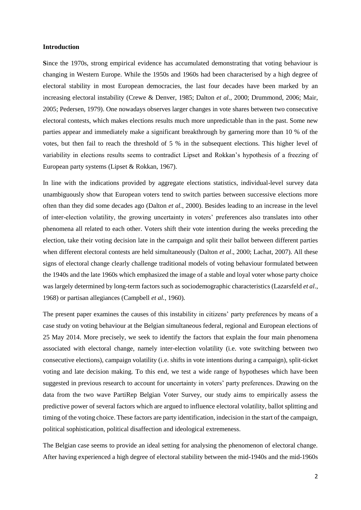## **Introduction**

**S**ince the 1970s, strong empirical evidence has accumulated demonstrating that voting behaviour is changing in Western Europe. While the 1950s and 1960s had been characterised by a high degree of electoral stability in most European democracies, the last four decades have been marked by an increasing electoral instability (Crewe & Denver, 1985; Dalton *et al.,* 2000; Drummond, 2006; Mair, 2005; Pedersen, 1979). One nowadays observes larger changes in vote shares between two consecutive electoral contests, which makes elections results much more unpredictable than in the past. Some new parties appear and immediately make a significant breakthrough by garnering more than 10 % of the votes, but then fail to reach the threshold of 5 % in the subsequent elections. This higher level of variability in elections results seems to contradict Lipset and Rokkan's hypothesis of a freezing of European party systems (Lipset & Rokkan, 1967).

In line with the indications provided by aggregate elections statistics, individual-level survey data unambiguously show that European voters tend to switch parties between successive elections more often than they did some decades ago (Dalton *et al.*, 2000). Besides leading to an increase in the level of inter-election volatility, the growing uncertainty in voters' preferences also translates into other phenomena all related to each other. Voters shift their vote intention during the weeks preceding the election, take their voting decision late in the campaign and split their ballot between different parties when different electoral contests are held simultaneously (Dalton *et al*., 2000; Lachat, 2007). All these signs of electoral change clearly challenge traditional models of voting behaviour formulated between the 1940s and the late 1960s which emphasized the image of a stable and loyal voter whose party choice was largely determined by long-term factors such as sociodemographic characteristics (Lazarsfeld *et al*., 1968) or partisan allegiances (Campbell *et al.*, 1960).

The present paper examines the causes of this instability in citizens' party preferences by means of a case study on voting behaviour at the Belgian simultaneous federal, regional and European elections of 25 May 2014. More precisely, we seek to identify the factors that explain the four main phenomena associated with electoral change, namely inter-election volatility (i.e. vote switching between two consecutive elections), campaign volatility (i.e. shifts in vote intentions during a campaign), split-ticket voting and late decision making. To this end, we test a wide range of hypotheses which have been suggested in previous research to account for uncertainty in voters' party preferences. Drawing on the data from the two wave PartiRep Belgian Voter Survey, our study aims to empirically assess the predictive power of several factors which are argued to influence electoral volatility, ballot splitting and timing of the voting choice. These factors are party identification, indecision in the start of the campaign, political sophistication, political disaffection and ideological extremeness.

The Belgian case seems to provide an ideal setting for analysing the phenomenon of electoral change. After having experienced a high degree of electoral stability between the mid-1940s and the mid-1960s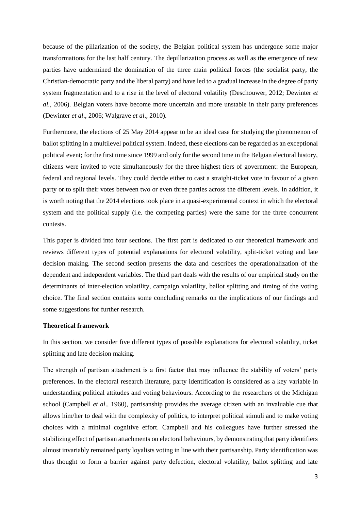because of the pillarization of the society, the Belgian political system has undergone some major transformations for the last half century. The depillarization process as well as the emergence of new parties have undermined the domination of the three main political forces (the socialist party, the Christian-democratic party and the liberal party) and have led to a gradual increase in the degree of party system fragmentation and to a rise in the level of electoral volatility (Deschouwer, 2012; Dewinter *et al.,* 2006). Belgian voters have become more uncertain and more unstable in their party preferences (Dewinter *et al*., 2006; Walgrave *et al*., 2010).

Furthermore, the elections of 25 May 2014 appear to be an ideal case for studying the phenomenon of ballot splitting in a multilevel political system. Indeed, these elections can be regarded as an exceptional political event; for the first time since 1999 and only for the second time in the Belgian electoral history, citizens were invited to vote simultaneously for the three highest tiers of government: the European, federal and regional levels. They could decide either to cast a straight-ticket vote in favour of a given party or to split their votes between two or even three parties across the different levels. In addition, it is worth noting that the 2014 elections took place in a quasi-experimental context in which the electoral system and the political supply (i.e. the competing parties) were the same for the three concurrent contests.

This paper is divided into four sections. The first part is dedicated to our theoretical framework and reviews different types of potential explanations for electoral volatility, split-ticket voting and late decision making. The second section presents the data and describes the operationalization of the dependent and independent variables. The third part deals with the results of our empirical study on the determinants of inter-election volatility, campaign volatility, ballot splitting and timing of the voting choice. The final section contains some concluding remarks on the implications of our findings and some suggestions for further research.

## **Theoretical framework**

In this section, we consider five different types of possible explanations for electoral volatility, ticket splitting and late decision making.

The strength of partisan attachment is a first factor that may influence the stability of voters' party preferences. In the electoral research literature, party identification is considered as a key variable in understanding political attitudes and voting behaviours. According to the researchers of the Michigan school (Campbell *et al*., 1960), partisanship provides the average citizen with an invaluable cue that allows him/her to deal with the complexity of politics, to interpret political stimuli and to make voting choices with a minimal cognitive effort. Campbell and his colleagues have further stressed the stabilizing effect of partisan attachments on electoral behaviours, by demonstrating that party identifiers almost invariably remained party loyalists voting in line with their partisanship. Party identification was thus thought to form a barrier against party defection, electoral volatility, ballot splitting and late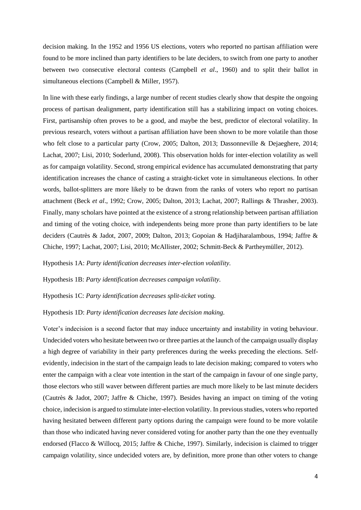decision making. In the 1952 and 1956 US elections, voters who reported no partisan affiliation were found to be more inclined than party identifiers to be late deciders, to switch from one party to another between two consecutive electoral contests (Campbell *et al*., 1960) and to split their ballot in simultaneous elections (Campbell & Miller, 1957).

In line with these early findings, a large number of recent studies clearly show that despite the ongoing process of partisan dealignment, party identification still has a stabilizing impact on voting choices. First, partisanship often proves to be a good, and maybe the best, predictor of electoral volatility. In previous research, voters without a partisan affiliation have been shown to be more volatile than those who felt close to a particular party (Crow, 2005; Dalton, 2013; Dassonneville & Dejaeghere, 2014; Lachat, 2007; Lisi, 2010; Soderlund, 2008). This observation holds for inter-election volatility as well as for campaign volatility. Second, strong empirical evidence has accumulated demonstrating that party identification increases the chance of casting a straight-ticket vote in simultaneous elections. In other words, ballot-splitters are more likely to be drawn from the ranks of voters who report no partisan attachment (Beck *et al*., 1992; Crow, 2005; Dalton, 2013; Lachat, 2007; Rallings & Thrasher, 2003). Finally, many scholars have pointed at the existence of a strong relationship between partisan affiliation and timing of the voting choice, with independents being more prone than party identifiers to be late deciders (Cautrès & Jadot, 2007, 2009; Dalton, 2013; Gopoian & Hadjiharalambous, 1994; Jaffre & Chiche, 1997; Lachat, 2007; Lisi, 2010; McAllister, 2002; Schmitt-Beck & Partheymüller, 2012).

Hypothesis 1A: *Party identification decreases inter-election volatility.*

Hypothesis 1B: *Party identification decreases campaign volatility.*

Hypothesis 1C: *Party identification decreases split-ticket voting.*

#### Hypothesis 1D: *Party identification decreases late decision making.*

Voter's indecision is a second factor that may induce uncertainty and instability in voting behaviour. Undecided voters who hesitate between two or three parties at the launch of the campaign usually display a high degree of variability in their party preferences during the weeks preceding the elections. Selfevidently, indecision in the start of the campaign leads to late decision making; compared to voters who enter the campaign with a clear vote intention in the start of the campaign in favour of one single party, those electors who still waver between different parties are much more likely to be last minute deciders (Cautrès & Jadot, 2007; Jaffre & Chiche, 1997). Besides having an impact on timing of the voting choice, indecision is argued to stimulate inter-election volatility. In previous studies, voters who reported having hesitated between different party options during the campaign were found to be more volatile than those who indicated having never considered voting for another party than the one they eventually endorsed (Flacco & Willocq, 2015; Jaffre & Chiche, 1997). Similarly, indecision is claimed to trigger campaign volatility, since undecided voters are, by definition, more prone than other voters to change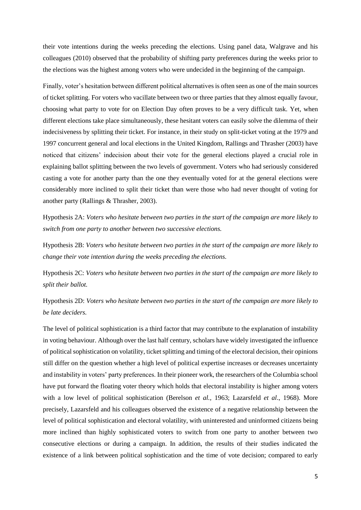their vote intentions during the weeks preceding the elections. Using panel data, Walgrave and his colleagues (2010) observed that the probability of shifting party preferences during the weeks prior to the elections was the highest among voters who were undecided in the beginning of the campaign.

Finally, voter's hesitation between different political alternatives is often seen as one of the main sources of ticket splitting. For voters who vacillate between two or three parties that they almost equally favour, choosing what party to vote for on Election Day often proves to be a very difficult task. Yet, when different elections take place simultaneously, these hesitant voters can easily solve the dilemma of their indecisiveness by splitting their ticket. For instance, in their study on split-ticket voting at the 1979 and 1997 concurrent general and local elections in the United Kingdom, Rallings and Thrasher (2003) have noticed that citizens' indecision about their vote for the general elections played a crucial role in explaining ballot splitting between the two levels of government. Voters who had seriously considered casting a vote for another party than the one they eventually voted for at the general elections were considerably more inclined to split their ticket than were those who had never thought of voting for another party (Rallings & Thrasher, 2003).

Hypothesis 2A: *Voters who hesitate between two parties in the start of the campaign are more likely to switch from one party to another between two successive elections.*

Hypothesis 2B: *Voters who hesitate between two parties in the start of the campaign are more likely to change their vote intention during the weeks preceding the elections.*

Hypothesis 2C: *Voters who hesitate between two parties in the start of the campaign are more likely to split their ballot.*

Hypothesis 2D: *Voters who hesitate between two parties in the start of the campaign are more likely to be late deciders.*

The level of political sophistication is a third factor that may contribute to the explanation of instability in voting behaviour. Although over the last half century, scholars have widely investigated the influence of political sophistication on volatility, ticket splitting and timing of the electoral decision, their opinions still differ on the question whether a high level of political expertise increases or decreases uncertainty and instability in voters' party preferences. In their pioneer work, the researchers of the Columbia school have put forward the floating voter theory which holds that electoral instability is higher among voters with a low level of political sophistication (Berelson *et al.,* 1963; Lazarsfeld *et al*., 1968). More precisely, Lazarsfeld and his colleagues observed the existence of a negative relationship between the level of political sophistication and electoral volatility, with uninterested and uninformed citizens being more inclined than highly sophisticated voters to switch from one party to another between two consecutive elections or during a campaign. In addition, the results of their studies indicated the existence of a link between political sophistication and the time of vote decision; compared to early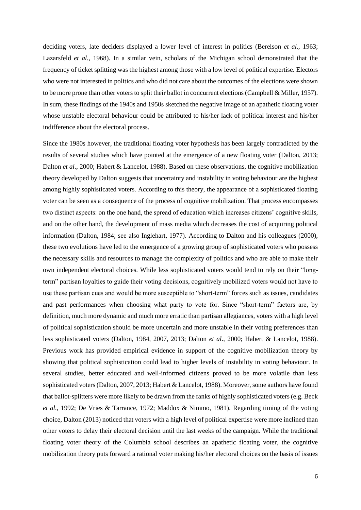deciding voters, late deciders displayed a lower level of interest in politics (Berelson *et al*., 1963; Lazarsfeld *et al.*, 1968). In a similar vein, scholars of the Michigan school demonstrated that the frequency of ticket splitting was the highest among those with a low level of political expertise. Electors who were not interested in politics and who did not care about the outcomes of the elections were shown to be more prone than other voters to split their ballot in concurrent elections (Campbell & Miller, 1957). In sum, these findings of the 1940s and 1950s sketched the negative image of an apathetic floating voter whose unstable electoral behaviour could be attributed to his/her lack of political interest and his/her indifference about the electoral process.

Since the 1980s however, the traditional floating voter hypothesis has been largely contradicted by the results of several studies which have pointed at the emergence of a new floating voter (Dalton, 2013; Dalton *et al*., 2000; Habert & Lancelot, 1988). Based on these observations, the cognitive mobilization theory developed by Dalton suggests that uncertainty and instability in voting behaviour are the highest among highly sophisticated voters. According to this theory, the appearance of a sophisticated floating voter can be seen as a consequence of the process of cognitive mobilization. That process encompasses two distinct aspects: on the one hand, the spread of education which increases citizens' cognitive skills, and on the other hand, the development of mass media which decreases the cost of acquiring political information (Dalton, 1984; see also Inglehart, 1977). According to Dalton and his colleagues (2000), these two evolutions have led to the emergence of a growing group of sophisticated voters who possess the necessary skills and resources to manage the complexity of politics and who are able to make their own independent electoral choices. While less sophisticated voters would tend to rely on their "longterm" partisan loyalties to guide their voting decisions, cognitively mobilized voters would not have to use these partisan cues and would be more susceptible to "short-term" forces such as issues, candidates and past performances when choosing what party to vote for. Since "short-term" factors are, by definition, much more dynamic and much more erratic than partisan allegiances, voters with a high level of political sophistication should be more uncertain and more unstable in their voting preferences than less sophisticated voters (Dalton, 1984, 2007, 2013; Dalton *et al*., 2000; Habert & Lancelot, 1988). Previous work has provided empirical evidence in support of the cognitive mobilization theory by showing that political sophistication could lead to higher levels of instability in voting behaviour. In several studies, better educated and well-informed citizens proved to be more volatile than less sophisticated voters (Dalton, 2007, 2013; Habert & Lancelot, 1988). Moreover, some authors have found that ballot-splitters were more likely to be drawn from the ranks of highly sophisticated voters (e.g. Beck *et al.,* 1992; De Vries & Tarrance, 1972; Maddox & Nimmo, 1981). Regarding timing of the voting choice, Dalton (2013) noticed that voters with a high level of political expertise were more inclined than other voters to delay their electoral decision until the last weeks of the campaign. While the traditional floating voter theory of the Columbia school describes an apathetic floating voter, the cognitive mobilization theory puts forward a rational voter making his/her electoral choices on the basis of issues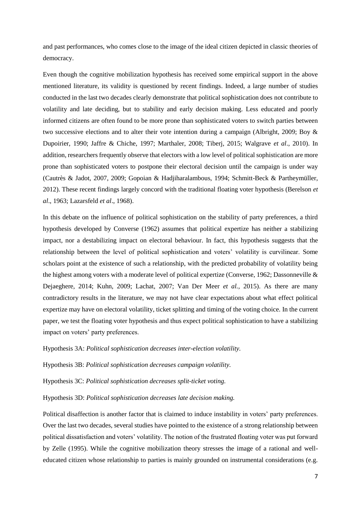and past performances, who comes close to the image of the ideal citizen depicted in classic theories of democracy.

Even though the cognitive mobilization hypothesis has received some empirical support in the above mentioned literature, its validity is questioned by recent findings. Indeed, a large number of studies conducted in the last two decades clearly demonstrate that political sophistication does not contribute to volatility and late deciding, but to stability and early decision making. Less educated and poorly informed citizens are often found to be more prone than sophisticated voters to switch parties between two successive elections and to alter their vote intention during a campaign (Albright, 2009; Boy & Dupoirier, 1990; Jaffre & Chiche, 1997; Marthaler, 2008; Tiberj, 2015; Walgrave *et al*., 2010). In addition, researchers frequently observe that electors with a low level of political sophistication are more prone than sophisticated voters to postpone their electoral decision until the campaign is under way (Cautrès & Jadot, 2007, 2009; Gopoian & Hadjiharalambous, 1994; Schmitt-Beck & Partheymüller, 2012). These recent findings largely concord with the traditional floating voter hypothesis (Berelson *et al*., 1963; Lazarsfeld *et al*., 1968).

In this debate on the influence of political sophistication on the stability of party preferences, a third hypothesis developed by Converse (1962) assumes that political expertize has neither a stabilizing impact, nor a destabilizing impact on electoral behaviour. In fact, this hypothesis suggests that the relationship between the level of political sophistication and voters' volatility is curvilinear. Some scholars point at the existence of such a relationship, with the predicted probability of volatility being the highest among voters with a moderate level of political expertize (Converse, 1962; Dassonneville & Dejaeghere, 2014; Kuhn, 2009; Lachat, 2007; Van Der Meer *et al.,* 2015). As there are many contradictory results in the literature, we may not have clear expectations about what effect political expertize may have on electoral volatility, ticket splitting and timing of the voting choice. In the current paper, we test the floating voter hypothesis and thus expect political sophistication to have a stabilizing impact on voters' party preferences.

Hypothesis 3A: *Political sophistication decreases inter-election volatility.*

Hypothesis 3B: *Political sophistication decreases campaign volatility.*

Hypothesis 3C: *Political sophistication decreases split-ticket voting.*

Hypothesis 3D: *Political sophistication decreases late decision making.*

Political disaffection is another factor that is claimed to induce instability in voters' party preferences. Over the last two decades, several studies have pointed to the existence of a strong relationship between political dissatisfaction and voters' volatility. The notion of the frustrated floating voter was put forward by Zelle (1995). While the cognitive mobilization theory stresses the image of a rational and welleducated citizen whose relationship to parties is mainly grounded on instrumental considerations (e.g.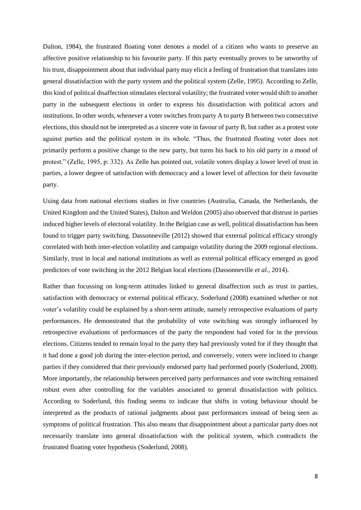Dalton, 1984), the frustrated floating voter denotes a model of a citizen who wants to preserve an affective positive relationship to his favourite party. If this party eventually proves to be unworthy of his trust, disappointment about that individual party may elicit a feeling of frustration that translates into general dissatisfaction with the party system and the political system (Zelle, 1995). According to Zelle, this kind of political disaffection stimulates electoral volatility; the frustrated voter would shift to another party in the subsequent elections in order to express his dissatisfaction with political actors and institutions. In other words, whenever a voter switches from party A to party B between two consecutive elections, this should not be interpreted as a sincere vote in favour of party B, but rather as a protest vote against parties and the political system in its whole. "Thus, the frustrated floating voter does not primarily perform a positive change to the new party, but turns his back to his old party in a mood of protest." (Zelle, 1995, p: 332). As Zelle has pointed out, volatile voters display a lower level of trust in parties, a lower degree of satisfaction with democracy and a lower level of affection for their favourite party.

Using data from national elections studies in five countries (Australia, Canada, the Netherlands, the United Kingdom and the United States), Dalton and Weldon (2005) also observed that distrust in parties induced higher levels of electoral volatility. In the Belgian case as well, political dissatisfaction has been found to trigger party switching. Dassonneville (2012) showed that external political efficacy strongly correlated with both inter-election volatility and campaign volatility during the 2009 regional elections. Similarly, trust in local and national institutions as well as external political efficacy emerged as good predictors of vote switching in the 2012 Belgian local elections (Dassonneville *et al*., 2014).

Rather than focussing on long-term attitudes linked to general disaffection such as trust in parties, satisfaction with democracy or external political efficacy, Soderlund (2008) examined whether or not voter's volatility could be explained by a short-term attitude, namely retrospective evaluations of party performances. He demonstrated that the probability of vote switching was strongly influenced by retrospective evaluations of performances of the party the respondent had voted for in the previous elections. Citizens tended to remain loyal to the party they had previously voted for if they thought that it had done a good job during the inter-election period, and conversely, voters were inclined to change parties if they considered that their previously endorsed party had performed poorly (Soderlund, 2008). More importantly, the relationship between perceived party performances and vote switching remained robust even after controlling for the variables associated to general dissatisfaction with politics. According to Soderlund, this finding seems to indicate that shifts in voting behaviour should be interpreted as the products of rational judgments about past performances instead of being seen as symptoms of political frustration. This also means that disappointment about a particular party does not necessarily translate into general dissatisfaction with the political system, which contradicts the frustrated floating voter hypothesis (Soderlund, 2008).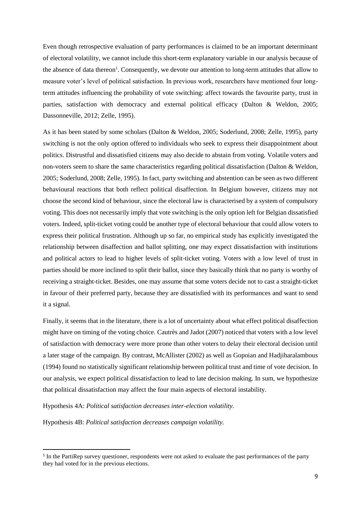Even though retrospective evaluation of party performances is claimed to be an important determinant of electoral volatility, we cannot include this short-term explanatory variable in our analysis because of the absence of data thereon<sup>1</sup>. Consequently, we devote our attention to long-term attitudes that allow to measure voter's level of political satisfaction. In previous work, researchers have mentioned four longterm attitudes influencing the probability of vote switching: affect towards the favourite party, trust in parties, satisfaction with democracy and external political efficacy (Dalton & Weldon, 2005; Dassonneville, 2012; Zelle, 1995).

As it has been stated by some scholars (Dalton & Weldon, 2005; Soderlund, 2008; Zelle, 1995), party switching is not the only option offered to individuals who seek to express their disappointment about politics. Distrustful and dissatisfied citizens may also decide to abstain from voting. Volatile voters and non-voters seem to share the same characteristics regarding political dissatisfaction (Dalton & Weldon, 2005; Soderlund, 2008; Zelle, 1995). In fact, party switching and abstention can be seen as two different behavioural reactions that both reflect political disaffection. In Belgium however, citizens may not choose the second kind of behaviour, since the electoral law is characterised by a system of compulsory voting. This does not necessarily imply that vote switching is the only option left for Belgian dissatisfied voters. Indeed, split-ticket voting could be another type of electoral behaviour that could allow voters to express their political frustration. Although up so far, no empirical study has explicitly investigated the relationship between disaffection and ballot splitting, one may expect dissatisfaction with institutions and political actors to lead to higher levels of split-ticket voting. Voters with a low level of trust in parties should be more inclined to split their ballot, since they basically think that no party is worthy of receiving a straight-ticket. Besides, one may assume that some voters decide not to cast a straight-ticket in favour of their preferred party, because they are dissatisfied with its performances and want to send it a signal.

Finally, it seems that in the literature, there is a lot of uncertainty about what effect political disaffection might have on timing of the voting choice. Cautrès and Jadot (2007) noticed that voters with a low level of satisfaction with democracy were more prone than other voters to delay their electoral decision until a later stage of the campaign. By contrast, McAllister (2002) as well as Gopoian and Hadjiharalambous (1994) found no statistically significant relationship between political trust and time of vote decision. In our analysis, we expect political dissatisfaction to lead to late decision making. In sum, we hypothesize that political dissatisfaction may affect the four main aspects of electoral instability.

Hypothesis 4A: *Political satisfaction decreases inter-election volatility.*

Hypothesis 4B: *Political satisfaction decreases campaign volatility.*

1

<sup>&</sup>lt;sup>1</sup> In the PartiRep survey questioner, respondents were not asked to evaluate the past performances of the party they had voted for in the previous elections.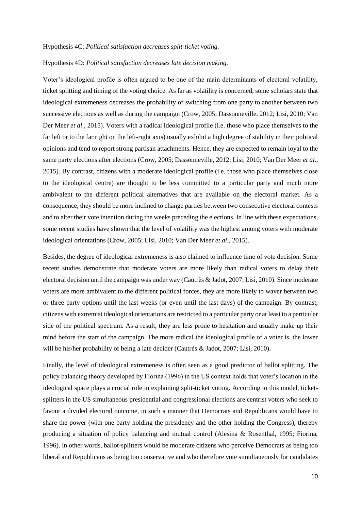#### Hypothesis 4C: *Political satisfaction decreases split-ticket voting.*

#### Hypothesis 4D: *Political satisfaction decreases late decision making.*

Voter's ideological profile is often argued to be one of the main determinants of electoral volatility, ticket splitting and timing of the voting choice. As far as volatility is concerned, some scholars state that ideological extremeness decreases the probability of switching from one party to another between two successive elections as well as during the campaign (Crow, 2005; Dassonneville, 2012; Lisi, 2010; Van Der Meer *et al*., 2015). Voters with a radical ideological profile (i.e. those who place themselves to the far left or to the far right on the left-right axis) usually exhibit a high degree of stability in their political opinions and tend to report strong partisan attachments. Hence, they are expected to remain loyal to the same party elections after elections (Crow, 2005; Dassonneville, 2012; Lisi, 2010; Van Der Meer *et al*., 2015). By contrast, citizens with a moderate ideological profile (i.e. those who place themselves close to the ideological centre) are thought to be less committed to a particular party and much more ambivalent to the different political alternatives that are available on the electoral market. As a consequence, they should be more inclined to change parties between two consecutive electoral contests and to alter their vote intention during the weeks preceding the elections. In line with these expectations, some recent studies have shown that the level of volatility was the highest among voters with moderate ideological orientations (Crow, 2005; Lisi, 2010; Van Der Meer *et al.,* 2015).

Besides, the degree of ideological extremeness is also claimed to influence time of vote decision. Some recent studies demonstrate that moderate voters are more likely than radical voters to delay their electoral decision until the campaign was under way (Cautrès & Jadot, 2007; Lisi, 2010). Since moderate voters are more ambivalent to the different political forces, they are more likely to waver between two or three party options until the last weeks (or even until the last days) of the campaign. By contrast, citizens with extremist ideological orientations are restricted to a particular party or at least to a particular side of the political spectrum. As a result, they are less prone to hesitation and usually make up their mind before the start of the campaign. The more radical the ideological profile of a voter is, the lower will be his/her probability of being a late decider (Cautrès & Jadot, 2007; Lisi, 2010).

Finally, the level of ideological extremeness is often seen as a good predictor of ballot splitting. The policy balancing theory developed by Fiorina (1996) in the US context holds that voter's location in the ideological space plays a crucial role in explaining split-ticket voting. According to this model, ticketsplitters in the US simultaneous presidential and congressional elections are centrist voters who seek to favour a divided electoral outcome, in such a manner that Democrats and Republicans would have to share the power (with one party holding the presidency and the other holding the Congress), thereby producing a situation of policy balancing and mutual control (Alesina & Rosenthal, 1995; Fiorina, 1996). In other words, ballot-splitters would be moderate citizens who perceive Democrats as being too liberal and Republicans as being too conservative and who therefore vote simultaneously for candidates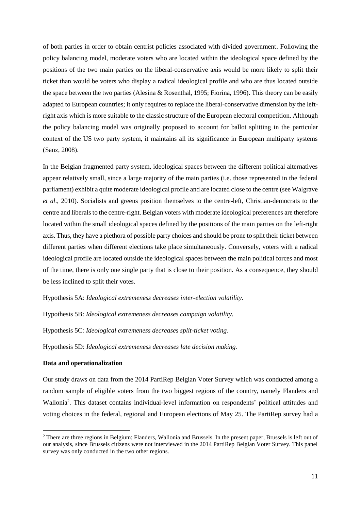of both parties in order to obtain centrist policies associated with divided government. Following the policy balancing model, moderate voters who are located within the ideological space defined by the positions of the two main parties on the liberal-conservative axis would be more likely to split their ticket than would be voters who display a radical ideological profile and who are thus located outside the space between the two parties (Alesina & Rosenthal, 1995; Fiorina, 1996). This theory can be easily adapted to European countries; it only requires to replace the liberal-conservative dimension by the leftright axis which is more suitable to the classic structure of the European electoral competition. Although the policy balancing model was originally proposed to account for ballot splitting in the particular context of the US two party system, it maintains all its significance in European multiparty systems (Sanz, 2008).

In the Belgian fragmented party system, ideological spaces between the different political alternatives appear relatively small, since a large majority of the main parties (i.e. those represented in the federal parliament) exhibit a quite moderate ideological profile and are located close to the centre (see Walgrave *et al*., 2010). Socialists and greens position themselves to the centre-left, Christian-democrats to the centre and liberals to the centre-right. Belgian voters with moderate ideological preferences are therefore located within the small ideological spaces defined by the positions of the main parties on the left-right axis. Thus, they have a plethora of possible party choices and should be prone to split their ticket between different parties when different elections take place simultaneously. Conversely, voters with a radical ideological profile are located outside the ideological spaces between the main political forces and most of the time, there is only one single party that is close to their position. As a consequence, they should be less inclined to split their votes.

Hypothesis 5A: *Ideological extremeness decreases inter-election volatility.*

Hypothesis 5B: *Ideological extremeness decreases campaign volatility.*

Hypothesis 5C: *Ideological extremeness decreases split-ticket voting.*

Hypothesis 5D: *Ideological extremeness decreases late decision making.*

#### **Data and operationalization**

**.** 

Our study draws on data from the 2014 PartiRep Belgian Voter Survey which was conducted among a random sample of eligible voters from the two biggest regions of the country, namely Flanders and Wallonia<sup>2</sup> . This dataset contains individual-level information on respondents' political attitudes and voting choices in the federal, regional and European elections of May 25. The PartiRep survey had a

<sup>&</sup>lt;sup>2</sup> There are three regions in Belgium: Flanders, Wallonia and Brussels. In the present paper, Brussels is left out of our analysis, since Brussels citizens were not interviewed in the 2014 PartiRep Belgian Voter Survey. This panel survey was only conducted in the two other regions.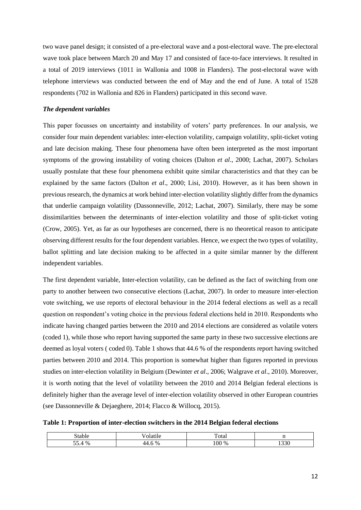two wave panel design; it consisted of a pre-electoral wave and a post-electoral wave. The pre-electoral wave took place between March 20 and May 17 and consisted of face-to-face interviews. It resulted in a total of 2019 interviews (1011 in Wallonia and 1008 in Flanders). The post-electoral wave with telephone interviews was conducted between the end of May and the end of June. A total of 1528 respondents (702 in Wallonia and 826 in Flanders) participated in this second wave.

## *The dependent variables*

This paper focusses on uncertainty and instability of voters' party preferences. In our analysis, we consider four main dependent variables: inter-election volatility, campaign volatility, split-ticket voting and late decision making. These four phenomena have often been interpreted as the most important symptoms of the growing instability of voting choices (Dalton *et al*., 2000; Lachat, 2007). Scholars usually postulate that these four phenomena exhibit quite similar characteristics and that they can be explained by the same factors (Dalton *et al*., 2000; Lisi, 2010). However, as it has been shown in previous research, the dynamics at work behind inter-election volatility slightly differ from the dynamics that underlie campaign volatility (Dassonneville, 2012; Lachat, 2007). Similarly, there may be some dissimilarities between the determinants of inter-election volatility and those of split-ticket voting (Crow, 2005). Yet, as far as our hypotheses are concerned, there is no theoretical reason to anticipate observing different results for the four dependent variables. Hence, we expect the two types of volatility, ballot splitting and late decision making to be affected in a quite similar manner by the different independent variables.

The first dependent variable, Inter-election volatility, can be defined as the fact of switching from one party to another between two consecutive elections (Lachat, 2007). In order to measure inter-election vote switching, we use reports of electoral behaviour in the 2014 federal elections as well as a recall question on respondent's voting choice in the previous federal elections held in 2010. Respondents who indicate having changed parties between the 2010 and 2014 elections are considered as volatile voters (coded 1), while those who report having supported the same party in these two successive elections are deemed as loyal voters ( coded 0). Table 1 shows that 44.6 % of the respondents report having switched parties between 2010 and 2014. This proportion is somewhat higher than figures reported in previous studies on inter-election volatility in Belgium (Dewinter *et al*., 2006; Walgrave *et al*., 2010). Moreover, it is worth noting that the level of volatility between the 2010 and 2014 Belgian federal elections is definitely higher than the average level of inter-election volatility observed in other European countries (see Dassonneville & Dejaeghere, 2014; Flacco & Willocq, 2015).

**Table 1: Proportion of inter-election switchers in the 2014 Belgian federal elections**

| tok                     |                          | <u>т</u><br>ota                           | <br>-- |
|-------------------------|--------------------------|-------------------------------------------|--------|
| - -<br>$\Omega$<br>$\%$ | $\%$<br><del>∼+</del> .∪ | $\sim$ $\sim$<br>$\%$<br>100 <sup>o</sup> | 220    |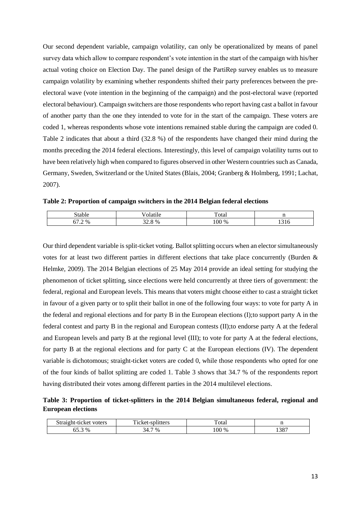Our second dependent variable, campaign volatility, can only be operationalized by means of panel survey data which allow to compare respondent's vote intention in the start of the campaign with his/her actual voting choice on Election Day. The panel design of the PartiRep survey enables us to measure campaign volatility by examining whether respondents shifted their party preferences between the preelectoral wave (vote intention in the beginning of the campaign) and the post-electoral wave (reported electoral behaviour). Campaign switchers are those respondents who report having cast a ballot in favour of another party than the one they intended to vote for in the start of the campaign. These voters are coded 1, whereas respondents whose vote intentions remained stable during the campaign are coded 0. Table 2 indicates that about a third (32.8 %) of the respondents have changed their mind during the months preceding the 2014 federal elections. Interestingly, this level of campaign volatility turns out to have been relatively high when compared to figures observed in other Western countries such as Canada, Germany, Sweden, Switzerland or the United States (Blais, 2004; Granberg & Holmberg, 1991; Lachat, 2007).

**Table 2: Proportion of campaign switchers in the 2014 Belgian federal elections**

| $\sim$<br>table.                                                               |                       | $\tau_{\text{otan}}$  | $\mathbf{H}$<br>$-$                                 |
|--------------------------------------------------------------------------------|-----------------------|-----------------------|-----------------------------------------------------|
| --<br>0/2<br>$\overline{\phantom{a}}$<br>v /<br>70<br>$\overline{\phantom{0}}$ | $\%$<br>$J\omega$ . O | $100^{\circ}$<br>$\%$ | $\overline{\phantom{a}}$<br>-1.<br>1 U<br><b>TP</b> |

Our third dependent variable is split-ticket voting. Ballot splitting occurs when an elector simultaneously votes for at least two different parties in different elections that take place concurrently (Burden & Helmke, 2009). The 2014 Belgian elections of 25 May 2014 provide an ideal setting for studying the phenomenon of ticket splitting, since elections were held concurrently at three tiers of government: the federal, regional and European levels. This means that voters might choose either to cast a straight ticket in favour of a given party or to split their ballot in one of the following four ways: to vote for party A in the federal and regional elections and for party B in the European elections (I);to support party A in the federal contest and party B in the regional and European contests (II);to endorse party A at the federal and European levels and party B at the regional level (III); to vote for party A at the federal elections, for party B at the regional elections and for party C at the European elections (IV). The dependent variable is dichotomous; straight-ticket voters are coded 0, while those respondents who opted for one of the four kinds of ballot splitting are coded 1. Table 3 shows that 34.7 % of the respondents report having distributed their votes among different parties in the 2014 multilevel elections.

**Table 3: Proportion of ticket-splitters in the 2014 Belgian simultaneous federal, regional and European elections**

| Straight-ticket<br>voters | <del>. .</del><br>splitters<br>$\cdot$ 10 $\sigma$<br>TCKEL | T.<br>'otal |              |
|---------------------------|-------------------------------------------------------------|-------------|--------------|
| $\%$                      | $\frac{9}{0}$                                               | 100 %       | 207          |
| UJ.J                      | 34.7                                                        |             | <u>۔ 100</u> |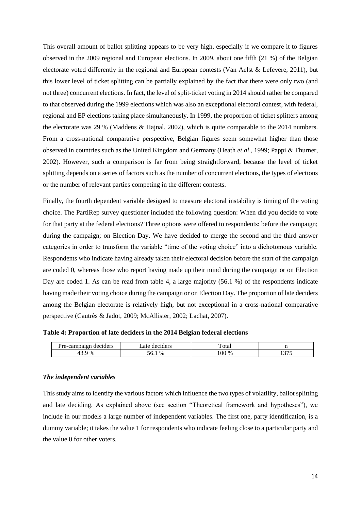This overall amount of ballot splitting appears to be very high, especially if we compare it to figures observed in the 2009 regional and European elections. In 2009, about one fifth (21 %) of the Belgian electorate voted differently in the regional and European contests (Van Aelst & Lefevere, 2011), but this lower level of ticket splitting can be partially explained by the fact that there were only two (and not three) concurrent elections. In fact, the level of split-ticket voting in 2014 should rather be compared to that observed during the 1999 elections which was also an exceptional electoral contest, with federal, regional and EP elections taking place simultaneously. In 1999, the proportion of ticket splitters among the electorate was 29 % (Maddens & Hajnal, 2002), which is quite comparable to the 2014 numbers. From a cross-national comparative perspective, Belgian figures seem somewhat higher than those observed in countries such as the United Kingdom and Germany (Heath *et al*., 1999; Pappi & Thurner, 2002). However, such a comparison is far from being straightforward, because the level of ticket splitting depends on a series of factors such as the number of concurrent elections, the types of elections or the number of relevant parties competing in the different contests.

Finally, the fourth dependent variable designed to measure electoral instability is timing of the voting choice. The PartiRep survey questioner included the following question: When did you decide to vote for that party at the federal elections? Three options were offered to respondents: before the campaign; during the campaign; on Election Day. We have decided to merge the second and the third answer categories in order to transform the variable "time of the voting choice" into a dichotomous variable. Respondents who indicate having already taken their electoral decision before the start of the campaign are coded 0, whereas those who report having made up their mind during the campaign or on Election Day are coded 1. As can be read from table 4, a large majority (56.1 %) of the respondents indicate having made their voting choice during the campaign or on Election Day. The proportion of late deciders among the Belgian electorate is relatively high, but not exceptional in a cross-national comparative perspective (Cautrès & Jadot, 2009; McAllister, 2002; Lachat, 2007).

#### **Table 4: Proportion of late deciders in the 2014 Belgian federal elections**

| <b>******</b><br>deciders       | ders<br>.ate<br>de | $\mathbf{r}$<br><b>Cotal</b> |                             |
|---------------------------------|--------------------|------------------------------|-----------------------------|
| $\sim$<br>$\frac{0}{0}$<br>TJ.J | $\%$<br>50.1       | 00<br>$\%$                   | $\sim$ $\sim$ $\sim$<br>. . |

#### *The independent variables*

This study aims to identify the various factors which influence the two types of volatility, ballot splitting and late deciding. As explained above (see section "Theoretical framework and hypotheses"), we include in our models a large number of independent variables. The first one, party identification, is a dummy variable; it takes the value 1 for respondents who indicate feeling close to a particular party and the value 0 for other voters.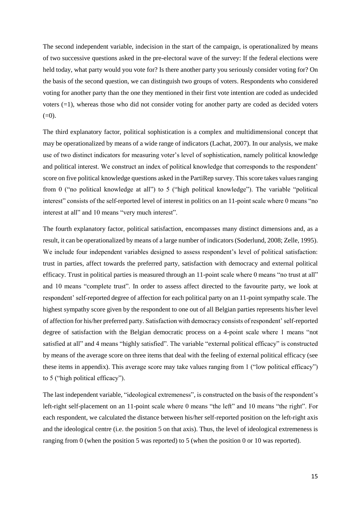The second independent variable, indecision in the start of the campaign, is operationalized by means of two successive questions asked in the pre-electoral wave of the survey: If the federal elections were held today, what party would you vote for? Is there another party you seriously consider voting for? On the basis of the second question, we can distinguish two groups of voters. Respondents who considered voting for another party than the one they mentioned in their first vote intention are coded as undecided voters (=1), whereas those who did not consider voting for another party are coded as decided voters  $(=0).$ 

The third explanatory factor, political sophistication is a complex and multidimensional concept that may be operationalized by means of a wide range of indicators (Lachat, 2007). In our analysis, we make use of two distinct indicators for measuring voter's level of sophistication, namely political knowledge and political interest. We construct an index of political knowledge that corresponds to the respondent' score on five political knowledge questions asked in the PartiRep survey. This score takes values ranging from 0 ("no political knowledge at all") to 5 ("high political knowledge"). The variable "political interest" consists of the self-reported level of interest in politics on an 11-point scale where 0 means "no interest at all" and 10 means "very much interest".

The fourth explanatory factor, political satisfaction, encompasses many distinct dimensions and, as a result, it can be operationalized by means of a large number of indicators (Soderlund, 2008; Zelle, 1995). We include four independent variables designed to assess respondent's level of political satisfaction: trust in parties, affect towards the preferred party, satisfaction with democracy and external political efficacy. Trust in political parties is measured through an 11-point scale where 0 means "no trust at all" and 10 means "complete trust". In order to assess affect directed to the favourite party, we look at respondent' self-reported degree of affection for each political party on an 11-point sympathy scale. The highest sympathy score given by the respondent to one out of all Belgian parties represents his/her level of affection for his/her preferred party. Satisfaction with democracy consists of respondent' self-reported degree of satisfaction with the Belgian democratic process on a 4-point scale where 1 means "not satisfied at all" and 4 means "highly satisfied". The variable "external political efficacy" is constructed by means of the average score on three items that deal with the feeling of external political efficacy (see these items in appendix). This average score may take values ranging from 1 ("low political efficacy") to 5 ("high political efficacy").

The last independent variable, "ideological extremeness", is constructed on the basis of the respondent's left-right self-placement on an 11-point scale where 0 means "the left" and 10 means "the right". For each respondent, we calculated the distance between his/her self-reported position on the left-right axis and the ideological centre (i.e. the position 5 on that axis). Thus, the level of ideological extremeness is ranging from 0 (when the position 5 was reported) to 5 (when the position 0 or 10 was reported).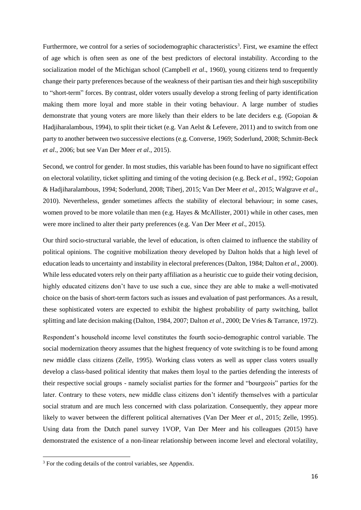Furthermore, we control for a series of sociodemographic characteristics<sup>3</sup>. First, we examine the effect of age which is often seen as one of the best predictors of electoral instability. According to the socialization model of the Michigan school (Campbell *et al*., 1960), young citizens tend to frequently change their party preferences because of the weakness of their partisan ties and their high susceptibility to "short-term" forces. By contrast, older voters usually develop a strong feeling of party identification making them more loyal and more stable in their voting behaviour. A large number of studies demonstrate that young voters are more likely than their elders to be late deciders e.g. (Gopoian & Hadjiharalambous, 1994), to split their ticket (e.g. Van Aelst & Lefevere, 2011) and to switch from one party to another between two successive elections (e.g. Converse, 1969; Soderlund, 2008; Schmitt-Beck *et al*., 2006; but see Van Der Meer *et al*., 2015).

Second, we control for gender. In most studies, this variable has been found to have no significant effect on electoral volatility, ticket splitting and timing of the voting decision (e.g. Beck *et al*., 1992; Gopoian & Hadjiharalambous, 1994; Soderlund, 2008; Tiberj, 2015; Van Der Meer *et al*., 2015; Walgrave *et al*., 2010). Nevertheless, gender sometimes affects the stability of electoral behaviour; in some cases, women proved to be more volatile than men (e.g. Hayes & McAllister, 2001) while in other cases, men were more inclined to alter their party preferences (e.g. Van Der Meer *et al*., 2015).

Our third socio-structural variable, the level of education, is often claimed to influence the stability of political opinions. The cognitive mobilization theory developed by Dalton holds that a high level of education leads to uncertainty and instability in electoral preferences (Dalton, 1984; Dalton *et al*., 2000). While less educated voters rely on their party affiliation as a heuristic cue to guide their voting decision, highly educated citizens don't have to use such a cue, since they are able to make a well-motivated choice on the basis of short-term factors such as issues and evaluation of past performances. As a result, these sophisticated voters are expected to exhibit the highest probability of party switching, ballot splitting and late decision making (Dalton, 1984, 2007; Dalton *et al*., 2000; De Vries & Tarrance, 1972).

Respondent's household income level constitutes the fourth socio-demographic control variable. The social modernization theory assumes that the highest frequency of vote switching is to be found among new middle class citizens (Zelle, 1995). Working class voters as well as upper class voters usually develop a class-based political identity that makes them loyal to the parties defending the interests of their respective social groups - namely socialist parties for the former and "bourgeois" parties for the later. Contrary to these voters, new middle class citizens don't identify themselves with a particular social stratum and are much less concerned with class polarization. Consequently, they appear more likely to waver between the different political alternatives (Van Der Meer *et al.,* 2015; Zelle, 1995). Using data from the Dutch panel survey 1VOP, Van Der Meer and his colleagues (2015) have demonstrated the existence of a non-linear relationship between income level and electoral volatility,

**.** 

<sup>&</sup>lt;sup>3</sup> For the coding details of the control variables, see Appendix.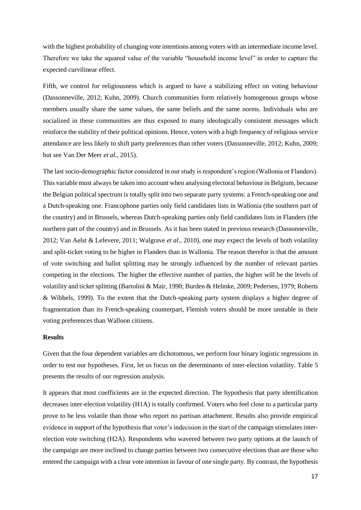with the highest probability of changing vote intentions among voters with an intermediate income level. Therefore we take the squared value of the variable "household income level" in order to capture the expected curvilinear effect.

Fifth, we control for religiousness which is argued to have a stabilizing effect on voting behaviour (Dassonneville, 2012; Kuhn, 2009). Church communities form relatively homogenous groups whose members usually share the same values, the same beliefs and the same norms. Individuals who are socialized in these communities are thus exposed to many ideologically consistent messages which reinforce the stability of their political opinions. Hence, voters with a high frequency of religious service attendance are less likely to shift party preferences than other voters (Dassonneville, 2012; Kuhn, 2009; but see Van Der Meer *et al.*, 2015).

The last socio-demographic factor considered in our study is respondent's region (Wallonia or Flanders). This variable must always be taken into account when analysing electoral behaviour in Belgium, because the Belgian political spectrum is totally split into two separate party systems: a French-speaking one and a Dutch-speaking one. Francophone parties only field candidates lists in Wallonia (the southern part of the country) and in Brussels, whereas Dutch-speaking parties only field candidates lists in Flanders (the northern part of the country) and in Brussels. As it has been stated in previous research (Dassonneville, 2012; Van Aelst & Lefevere, 2011; Walgrave *et al*., 2010), one may expect the levels of both volatility and split-ticket voting to be higher in Flanders than in Wallonia. The reason therefor is that the amount of vote switching and ballot splitting may be strongly influenced by the number of relevant parties competing in the elections. The higher the effective number of parties, the higher will be the levels of volatility and ticket splitting (Bartolini & Mair, 1990; Burden & Helmke, 2009; Pedersen, 1979; Roberts & Wibbels, 1999). To the extent that the Dutch-speaking party system displays a higher degree of fragmentation than its French-speaking counterpart, Flemish voters should be more unstable in their voting preferences than Walloon citizens.

#### **Results**

Given that the four dependent variables are dichotomous, we perform four binary logistic regressions in order to test our hypotheses. First, let us focus on the determinants of inter-election volatility. Table 5 presents the results of our regression analysis.

It appears that most coefficients are in the expected direction. The hypothesis that party identification decreases inter-election volatility (H1A) is totally confirmed. Voters who feel close to a particular party prove to be less volatile than those who report no partisan attachment. Results also provide empirical evidence in support of the hypothesis that voter's indecision in the start of the campaign stimulates interelection vote switching (H2A). Respondents who wavered between two party options at the launch of the campaign are more inclined to change parties between two consecutive elections than are those who entered the campaign with a clear vote intention in favour of one single party. By contrast, the hypothesis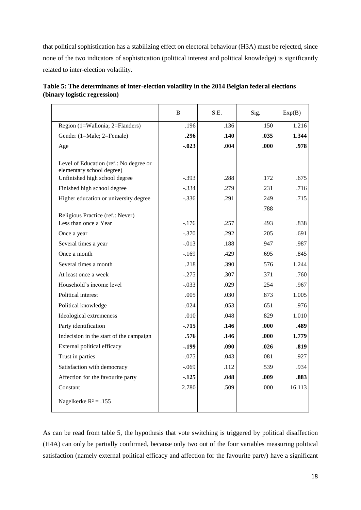that political sophistication has a stabilizing effect on electoral behaviour (H3A) must be rejected, since none of the two indicators of sophistication (political interest and political knowledge) is significantly related to inter-election volatility.

|                                                                                                      | B       | S.E. | Sig. | Exp(B) |
|------------------------------------------------------------------------------------------------------|---------|------|------|--------|
| Region (1=Wallonia; 2=Flanders)                                                                      | .196    | .136 | .150 | 1.216  |
| Gender (1=Male; 2=Female)                                                                            | .296    | .140 | .035 | 1.344  |
| Age                                                                                                  | $-.023$ | .004 | .000 | .978   |
| Level of Education (ref.: No degree or<br>elementary school degree)<br>Unfinished high school degree | $-.393$ | .288 | .172 | .675   |
| Finished high school degree                                                                          | $-.334$ | .279 | .231 | .716   |
| Higher education or university degree                                                                | $-.336$ | .291 | .249 | .715   |
| Religious Practice (ref.: Never)                                                                     |         |      | .788 |        |
| Less than once a Year                                                                                | $-176$  | .257 | .493 | .838   |
| Once a year                                                                                          | $-.370$ | .292 | .205 | .691   |
| Several times a year                                                                                 | $-.013$ | .188 | .947 | .987   |
| Once a month                                                                                         | $-169$  | .429 | .695 | .845   |
| Several times a month                                                                                | .218    | .390 | .576 | 1.244  |
| At least once a week                                                                                 | $-.275$ | .307 | .371 | .760   |
| Household's income level                                                                             | $-.033$ | .029 | .254 | .967   |
| Political interest                                                                                   | .005    | .030 | .873 | 1.005  |
| Political knowledge                                                                                  | $-.024$ | .053 | .651 | .976   |
| Ideological extremeness                                                                              | .010    | .048 | .829 | 1.010  |
| Party identification                                                                                 | $-715$  | .146 | .000 | .489   |
| Indecision in the start of the campaign                                                              | .576    | .146 | .000 | 1.779  |
| External political efficacy                                                                          | -.199   | .090 | .026 | .819   |
| Trust in parties                                                                                     | $-.075$ | .043 | .081 | .927   |
| Satisfaction with democracy                                                                          | $-.069$ | .112 | .539 | .934   |
| Affection for the favourite party                                                                    | $-125$  | .048 | .009 | .883   |
| Constant                                                                                             | 2.780   | .509 | .000 | 16.113 |
| Nagelkerke $R^2 = .155$                                                                              |         |      |      |        |

| Table 5: The determinants of inter-election volatility in the 2014 Belgian federal elections |  |
|----------------------------------------------------------------------------------------------|--|
| (binary logistic regression)                                                                 |  |

As can be read from table 5, the hypothesis that vote switching is triggered by political disaffection (H4A) can only be partially confirmed, because only two out of the four variables measuring political satisfaction (namely external political efficacy and affection for the favourite party) have a significant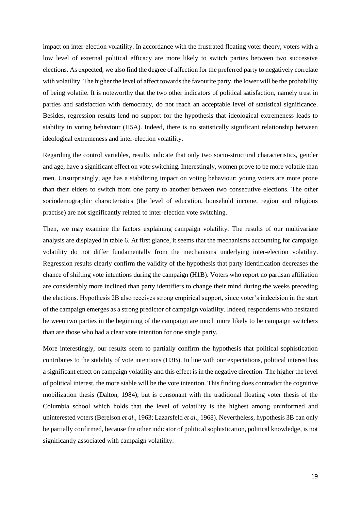impact on inter-election volatility. In accordance with the frustrated floating voter theory, voters with a low level of external political efficacy are more likely to switch parties between two successive elections. As expected, we also find the degree of affection for the preferred party to negatively correlate with volatility. The higher the level of affect towards the favourite party, the lower will be the probability of being volatile. It is noteworthy that the two other indicators of political satisfaction, namely trust in parties and satisfaction with democracy, do not reach an acceptable level of statistical significance. Besides, regression results lend no support for the hypothesis that ideological extremeness leads to stability in voting behaviour (H5A). Indeed, there is no statistically significant relationship between ideological extremeness and inter-election volatility.

Regarding the control variables, results indicate that only two socio-structural characteristics, gender and age, have a significant effect on vote switching. Interestingly, women prove to be more volatile than men. Unsurprisingly, age has a stabilizing impact on voting behaviour; young voters are more prone than their elders to switch from one party to another between two consecutive elections. The other sociodemographic characteristics (the level of education, household income, region and religious practise) are not significantly related to inter-election vote switching.

Then, we may examine the factors explaining campaign volatility. The results of our multivariate analysis are displayed in table 6. At first glance, it seems that the mechanisms accounting for campaign volatility do not differ fundamentally from the mechanisms underlying inter-election volatility. Regression results clearly confirm the validity of the hypothesis that party identification decreases the chance of shifting vote intentions during the campaign (H1B). Voters who report no partisan affiliation are considerably more inclined than party identifiers to change their mind during the weeks preceding the elections. Hypothesis 2B also receives strong empirical support, since voter's indecision in the start of the campaign emerges as a strong predictor of campaign volatility. Indeed, respondents who hesitated between two parties in the beginning of the campaign are much more likely to be campaign switchers than are those who had a clear vote intention for one single party.

More interestingly, our results seem to partially confirm the hypothesis that political sophistication contributes to the stability of vote intentions (H3B). In line with our expectations, political interest has a significant effect on campaign volatility and this effect is in the negative direction. The higher the level of political interest, the more stable will be the vote intention. This finding does contradict the cognitive mobilization thesis (Dalton, 1984), but is consonant with the traditional floating voter thesis of the Columbia school which holds that the level of volatility is the highest among uninformed and uninterested voters (Berelson *et al*., 1963; Lazarsfeld *et al*., 1968). Nevertheless, hypothesis 3B can only be partially confirmed, because the other indicator of political sophistication, political knowledge, is not significantly associated with campaign volatility.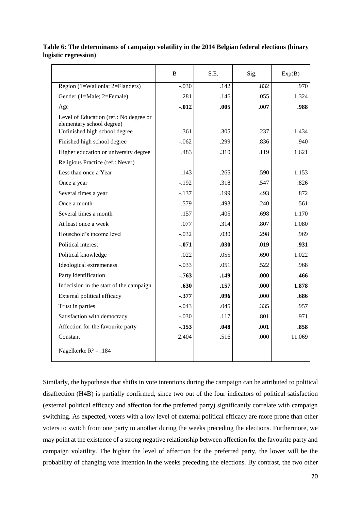|                                                                                                      | B        | S.E. | Sig. | Exp(B) |
|------------------------------------------------------------------------------------------------------|----------|------|------|--------|
| Region $(1=Wallonia; 2=Flanders)$                                                                    | $-.030$  | .142 | .832 | .970   |
| Gender (1=Male; 2=Female)                                                                            | .281     | .146 | .055 | 1.324  |
| Age                                                                                                  | $-0.012$ | .005 | .007 | .988   |
| Level of Education (ref.: No degree or<br>elementary school degree)<br>Unfinished high school degree | .361     | .305 | .237 | 1.434  |
| Finished high school degree                                                                          | $-.062$  | .299 | .836 | .940   |
| Higher education or university degree                                                                | .483     | .310 | .119 | 1.621  |
| Religious Practice (ref.: Never)                                                                     |          |      |      |        |
| Less than once a Year                                                                                | .143     | .265 | .590 | 1.153  |
| Once a year                                                                                          | $-.192$  | .318 | .547 | .826   |
| Several times a year                                                                                 | $-.137$  | .199 | .493 | .872   |
| Once a month                                                                                         | $-.579$  | .493 | .240 | .561   |
| Several times a month                                                                                | .157     | .405 | .698 | 1.170  |
| At least once a week                                                                                 | .077     | .314 | .807 | 1.080  |
| Household's income level                                                                             | $-.032$  | .030 | .298 | .969   |
| Political interest                                                                                   | $-.071$  | .030 | .019 | .931   |
| Political knowledge                                                                                  | .022     | .055 | .690 | 1.022  |
| Ideological extremeness                                                                              | $-.033$  | .051 | .522 | .968   |
| Party identification                                                                                 | -.763    | .149 | .000 | .466   |
| Indecision in the start of the campaign                                                              | .630     | .157 | .000 | 1.878  |
| External political efficacy                                                                          | $-.377$  | .096 | .000 | .686   |
| Trust in parties                                                                                     | $-.043$  | .045 | .335 | .957   |
| Satisfaction with democracy                                                                          | $-.030$  | .117 | .801 | .971   |
| Affection for the favourite party                                                                    | $-153$   | .048 | .001 | .858   |
| Constant                                                                                             | 2.404    | .516 | .000 | 11.069 |
| Nagelkerke $R^2 = .184$                                                                              |          |      |      |        |

# **Table 6: The determinants of campaign volatility in the 2014 Belgian federal elections (binary logistic regression)**

Similarly, the hypothesis that shifts in vote intentions during the campaign can be attributed to political disaffection (H4B) is partially confirmed, since two out of the four indicators of political satisfaction (external political efficacy and affection for the preferred party) significantly correlate with campaign switching. As expected, voters with a low level of external political efficacy are more prone than other voters to switch from one party to another during the weeks preceding the elections. Furthermore, we may point at the existence of a strong negative relationship between affection for the favourite party and campaign volatility. The higher the level of affection for the preferred party, the lower will be the probability of changing vote intention in the weeks preceding the elections. By contrast, the two other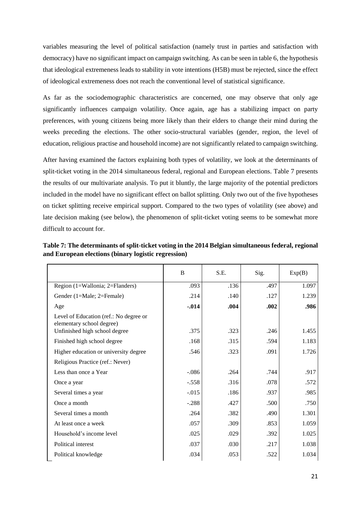variables measuring the level of political satisfaction (namely trust in parties and satisfaction with democracy) have no significant impact on campaign switching. As can be seen in table 6, the hypothesis that ideological extremeness leads to stability in vote intentions (H5B) must be rejected, since the effect of ideological extremeness does not reach the conventional level of statistical significance.

As far as the sociodemographic characteristics are concerned, one may observe that only age significantly influences campaign volatility. Once again, age has a stabilizing impact on party preferences, with young citizens being more likely than their elders to change their mind during the weeks preceding the elections. The other socio-structural variables (gender, region, the level of education, religious practise and household income) are not significantly related to campaign switching.

After having examined the factors explaining both types of volatility, we look at the determinants of split-ticket voting in the 2014 simultaneous federal, regional and European elections. Table 7 presents the results of our multivariate analysis. To put it bluntly, the large majority of the potential predictors included in the model have no significant effect on ballot splitting. Only two out of the five hypotheses on ticket splitting receive empirical support. Compared to the two types of volatility (see above) and late decision making (see below), the phenomenon of split-ticket voting seems to be somewhat more difficult to account for.

**Table 7: The determinants of split-ticket voting in the 2014 Belgian simultaneous federal, regional and European elections (binary logistic regression)** 

|                                                                     | B        | S.E. | Sig. | Exp(B) |
|---------------------------------------------------------------------|----------|------|------|--------|
| Region (1=Wallonia; 2=Flanders)                                     | .093     | .136 | .497 | 1.097  |
| Gender (1=Male; 2=Female)                                           | .214     | .140 | .127 | 1.239  |
| Age                                                                 | $-0.014$ | .004 | .002 | .986   |
| Level of Education (ref.: No degree or<br>elementary school degree) |          |      |      |        |
| Unfinished high school degree                                       | .375     | .323 | .246 | 1.455  |
| Finished high school degree                                         | .168     | .315 | .594 | 1.183  |
| Higher education or university degree                               | .546     | .323 | .091 | 1.726  |
| Religious Practice (ref.: Never)                                    |          |      |      |        |
| Less than once a Year                                               | $-.086$  | .264 | .744 | .917   |
| Once a year                                                         | $-.558$  | .316 | .078 | .572   |
| Several times a year                                                | $-0.015$ | .186 | .937 | .985   |
| Once a month                                                        | $-.288$  | .427 | .500 | .750   |
| Several times a month                                               | .264     | .382 | .490 | 1.301  |
| At least once a week                                                | .057     | .309 | .853 | 1.059  |
| Household's income level                                            | .025     | .029 | .392 | 1.025  |
| Political interest                                                  | .037     | .030 | .217 | 1.038  |
| Political knowledge                                                 | .034     | .053 | .522 | 1.034  |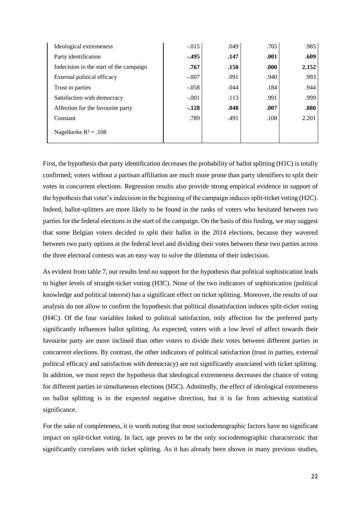| Ideological extremeness                 | $-.015$ | .049 | .765 | .985  |
|-----------------------------------------|---------|------|------|-------|
| Party identification                    | $-.495$ | .147 | .001 | .609  |
| Indecision in the start of the campaign | .767    | .150 | .000 | 2.152 |
| External political efficacy             | $-.007$ | .091 | .940 | .993  |
| Trust in parties                        | $-.058$ | .044 | .184 | .944  |
| Satisfaction with democracy             | $-.001$ | .113 | .991 | .999  |
| Affection for the favourite party       | $-.128$ | .048 | .007 | .880  |
| Constant                                | .789    | .491 | .108 | 2.201 |
| Nagelkerke $R^2 = .108$                 |         |      |      |       |

First, the hypothesis that party identification decreases the probability of ballot splitting (H1C) is totally confirmed; voters without a partisan affiliation are much more prone than party identifiers to split their votes in concurrent elections. Regression results also provide strong empirical evidence in support of the hypothesis that voter's indecision in the beginning of the campaign induces split-ticket voting (H2C). Indeed, ballot-splitters are more likely to be found in the ranks of voters who hesitated between two parties for the federal elections in the start of the campaign. On the basis of this finding, we may suggest that some Belgian voters decided to split their ballot in the 2014 elections, because they wavered between two party options at the federal level and dividing their votes between these two parties across the three electoral contests was an easy way to solve the dilemma of their indecision.

As evident from table 7, our results lend no support for the hypothesis that political sophistication leads to higher levels of straight-ticket voting (H3C). None of the two indicators of sophistication (political knowledge and political interest) has a significant effect on ticket splitting. Moreover, the results of our analysis do not allow to confirm the hypothesis that political dissatisfaction induces split-ticket voting (H4C). Of the four variables linked to political satisfaction, only affection for the preferred party significantly influences ballot splitting. As expected, voters with a low level of affect towards their favourite party are more inclined than other voters to divide their votes between different parties in concurrent elections. By contrast, the other indicators of political satisfaction (trust in parties, external political efficacy and satisfaction with democracy) are not significantly associated with ticket splitting. In addition, we must reject the hypothesis that ideological extremeness decreases the chance of voting for different parties in simultaneous elections (H5C). Admittedly, the effect of ideological extremeness on ballot splitting is in the expected negative direction, but it is far from achieving statistical significance.

For the sake of completeness, it is worth noting that most sociodemographic factors have no significant impact on split-ticket voting. In fact, age proves to be the only sociodemographic characteristic that significantly correlates with ticket splitting. As it has already been shown in many previous studies,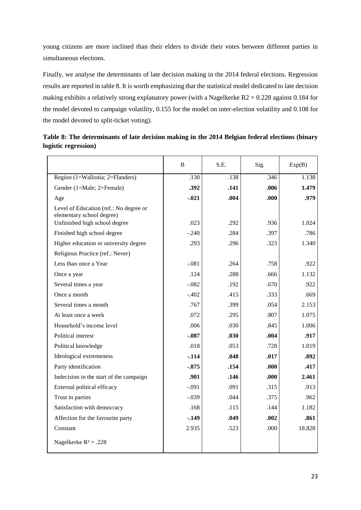young citizens are more inclined than their elders to divide their votes between different parties in simultaneous elections.

Finally, we analyse the determinants of late decision making in the 2014 federal elections. Regression results are reported in table 8. It is worth emphasizing that the statistical model dedicated to late decision making exhibits a relatively strong explanatory power (with a Nagelkerke  $R2 = 0.228$  against 0.184 for the model devoted to campaign volatility, 0.155 for the model on inter-election volatility and 0.108 for the model devoted to split-ticket voting).

|                                                                                                      | B       | S.E. | Sig.  | Exp(B) |
|------------------------------------------------------------------------------------------------------|---------|------|-------|--------|
| Region (1=Wallonia; 2=Flanders)                                                                      | .130    | .138 | .346  | 1.138  |
| Gender (1=Male; 2=Female)                                                                            | .392    | .141 | .006  | 1.479  |
| Age                                                                                                  | $-.021$ | .004 | .000  | .979   |
| Level of Education (ref.: No degree or<br>elementary school degree)<br>Unfinished high school degree | .023    | .292 | .936  | 1.024  |
| Finished high school degree                                                                          | $-.240$ | .284 | .397  | .786   |
| Higher education or university degree                                                                | .293    | .296 | .323  | 1.340  |
| Religious Practice (ref.: Never)                                                                     |         |      |       |        |
| Less than once a Year                                                                                | $-.081$ | .264 | .758  | .922   |
| Once a year                                                                                          | .124    | .288 | .666  | 1.132  |
| Several times a year                                                                                 | $-.082$ | .192 | .670  | .922   |
| Once a month                                                                                         | $-.402$ | .415 | .333  | .669   |
| Several times a month                                                                                | .767    | .399 | .054  | 2.153  |
| At least once a week                                                                                 | .072    | .295 | .807  | 1.075  |
| Household's income level                                                                             | .006    | .030 | .845  | 1.006  |
| Political interest                                                                                   | $-.087$ | .030 | .004  | .917   |
| Political knowledge                                                                                  | .018    | .053 | .728  | 1.019  |
| Ideological extremeness                                                                              | $-.114$ | .048 | .017  | .892   |
| Party identification                                                                                 | $-.875$ | .154 | .000  | .417   |
| Indecision in the start of the campaign                                                              | .901    | .146 | .000. | 2.461  |
| External political efficacy                                                                          | $-.091$ | .091 | .315  | .913   |
| Trust in parties                                                                                     | $-.039$ | .044 | .375  | .962   |
| Satisfaction with democracy                                                                          | .168    | .115 | .144  | 1.182  |
| Affection for the favourite party                                                                    | $-.149$ | .049 | .002  | .861   |
| Constant                                                                                             | 2.935   | .523 | .000  | 18.828 |
| Nagelkerke $R^2 = .228$                                                                              |         |      |       |        |

**Table 8: The determinants of late decision making in the 2014 Belgian federal elections (binary logistic regression)**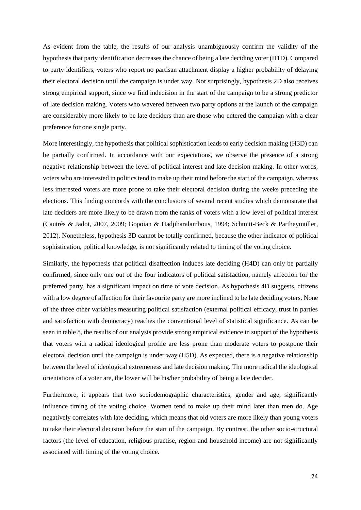As evident from the table, the results of our analysis unambiguously confirm the validity of the hypothesis that party identification decreases the chance of being a late deciding voter (H1D). Compared to party identifiers, voters who report no partisan attachment display a higher probability of delaying their electoral decision until the campaign is under way. Not surprisingly, hypothesis 2D also receives strong empirical support, since we find indecision in the start of the campaign to be a strong predictor of late decision making. Voters who wavered between two party options at the launch of the campaign are considerably more likely to be late deciders than are those who entered the campaign with a clear preference for one single party.

More interestingly, the hypothesis that political sophistication leads to early decision making (H3D) can be partially confirmed. In accordance with our expectations, we observe the presence of a strong negative relationship between the level of political interest and late decision making. In other words, voters who are interested in politics tend to make up their mind before the start of the campaign, whereas less interested voters are more prone to take their electoral decision during the weeks preceding the elections. This finding concords with the conclusions of several recent studies which demonstrate that late deciders are more likely to be drawn from the ranks of voters with a low level of political interest (Cautrès & Jadot, 2007, 2009; Gopoian & Hadjiharalambous, 1994; Schmitt-Beck & Partheymüller, 2012). Nonetheless, hypothesis 3D cannot be totally confirmed, because the other indicator of political sophistication, political knowledge, is not significantly related to timing of the voting choice.

Similarly, the hypothesis that political disaffection induces late deciding (H4D) can only be partially confirmed, since only one out of the four indicators of political satisfaction, namely affection for the preferred party, has a significant impact on time of vote decision. As hypothesis 4D suggests, citizens with a low degree of affection for their favourite party are more inclined to be late deciding voters. None of the three other variables measuring political satisfaction (external political efficacy, trust in parties and satisfaction with democracy) reaches the conventional level of statistical significance. As can be seen in table 8, the results of our analysis provide strong empirical evidence in support of the hypothesis that voters with a radical ideological profile are less prone than moderate voters to postpone their electoral decision until the campaign is under way (H5D). As expected, there is a negative relationship between the level of ideological extremeness and late decision making. The more radical the ideological orientations of a voter are, the lower will be his/her probability of being a late decider.

Furthermore, it appears that two sociodemographic characteristics, gender and age, significantly influence timing of the voting choice. Women tend to make up their mind later than men do. Age negatively correlates with late deciding, which means that old voters are more likely than young voters to take their electoral decision before the start of the campaign. By contrast, the other socio-structural factors (the level of education, religious practise, region and household income) are not significantly associated with timing of the voting choice.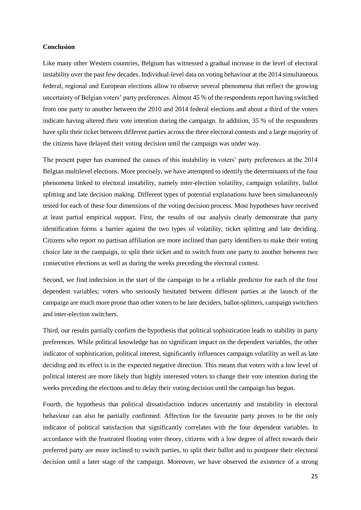## **Conclusion**

Like many other Western countries, Belgium has witnessed a gradual increase in the level of electoral instability over the past few decades. Individual-level data on voting behaviour at the 2014 simultaneous federal, regional and European elections allow to observe several phenomena that reflect the growing uncertainty of Belgian voters' party preferences. Almost 45 % of the respondents report having switched from one party to another between the 2010 and 2014 federal elections and about a third of the voters indicate having altered their vote intention during the campaign. In addition, 35 % of the respondents have split their ticket between different parties across the three electoral contests and a large majority of the citizens have delayed their voting decision until the campaign was under way.

The present paper has examined the causes of this instability in voters' party preferences at the 2014 Belgian multilevel elections. More precisely, we have attempted to identify the determinants of the four phenomena linked to electoral instability, namely inter-election volatility, campaign volatility, ballot splitting and late decision making. Different types of potential explanations have been simultaneously tested for each of these four dimensions of the voting decision process. Most hypotheses have received at least partial empirical support. First, the results of our analysis clearly demonstrate that party identification forms a barrier against the two types of volatility, ticket splitting and late deciding. Citizens who report no partisan affiliation are more inclined than party identifiers to make their voting choice late in the campaign, to split their ticket and to switch from one party to another between two consecutive elections as well as during the weeks preceding the electoral contest.

Second, we find indecision in the start of the campaign to be a reliable predictor for each of the four dependent variables; voters who seriously hesitated between different parties at the launch of the campaign are much more prone than other voters to be late deciders, ballot-splitters, campaign switchers and inter-election switchers.

Third, our results partially confirm the hypothesis that political sophistication leads to stability in party preferences. While political knowledge has no significant impact on the dependent variables, the other indicator of sophistication, political interest, significantly influences campaign volatility as well as late deciding and its effect is in the expected negative direction. This means that voters with a low level of political interest are more likely than highly interested voters to change their vote intention during the weeks preceding the elections and to delay their voting decision until the campaign has begun.

Fourth, the hypothesis that political dissatisfaction induces uncertainty and instability in electoral behaviour can also be partially confirmed. Affection for the favourite party proves to be the only indicator of political satisfaction that significantly correlates with the four dependent variables. In accordance with the frustrated floating voter theory, citizens with a low degree of affect towards their preferred party are more inclined to switch parties, to split their ballot and to postpone their electoral decision until a later stage of the campaign. Moreover, we have observed the existence of a strong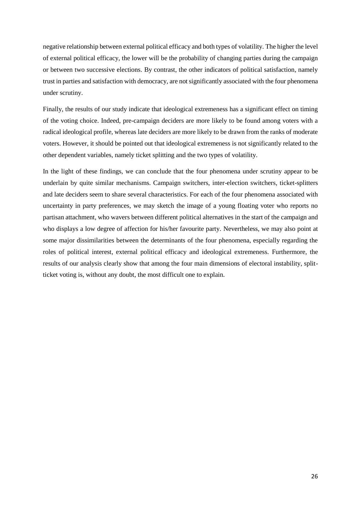negative relationship between external political efficacy and both types of volatility. The higher the level of external political efficacy, the lower will be the probability of changing parties during the campaign or between two successive elections. By contrast, the other indicators of political satisfaction, namely trust in parties and satisfaction with democracy, are not significantly associated with the four phenomena under scrutiny.

Finally, the results of our study indicate that ideological extremeness has a significant effect on timing of the voting choice. Indeed, pre-campaign deciders are more likely to be found among voters with a radical ideological profile, whereas late deciders are more likely to be drawn from the ranks of moderate voters. However, it should be pointed out that ideological extremeness is not significantly related to the other dependent variables, namely ticket splitting and the two types of volatility.

In the light of these findings, we can conclude that the four phenomena under scrutiny appear to be underlain by quite similar mechanisms. Campaign switchers, inter-election switchers, ticket-splitters and late deciders seem to share several characteristics. For each of the four phenomena associated with uncertainty in party preferences, we may sketch the image of a young floating voter who reports no partisan attachment, who wavers between different political alternatives in the start of the campaign and who displays a low degree of affection for his/her favourite party. Nevertheless, we may also point at some major dissimilarities between the determinants of the four phenomena, especially regarding the roles of political interest, external political efficacy and ideological extremeness. Furthermore, the results of our analysis clearly show that among the four main dimensions of electoral instability, splitticket voting is, without any doubt, the most difficult one to explain.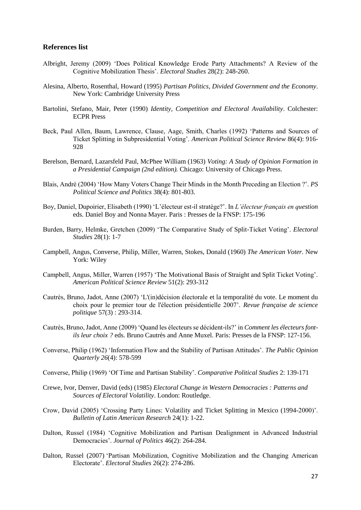### **References list**

- Albright, Jeremy (2009) 'Does Political Knowledge Erode Party Attachments? A Review of the Cognitive Mobilization Thesis'. *Electoral Studies* 28(2): 248-260.
- Alesina, Alberto, Rosenthal, Howard (1995) *Partisan Politics, Divided Government and the Economy*. New York: Cambridge University Press
- Bartolini, Stefano, Mair, Peter (1990) *Identity, Competition and Electoral Availability*. Colchester: ECPR Press
- Beck, Paul Allen, Baum, Lawrence, Clause, Aage, Smith, Charles (1992) 'Patterns and Sources of Ticket Splitting in Subpresidential Voting'. *American Political Science Review* 86(4): 916- 928
- Berelson, Bernard, Lazarsfeld Paul, McPhee William (1963) *Voting: A Study of Opinion Formation in a Presidential Campaign (2nd edition).* Chicago: University of Chicago Press.
- Blais, André (2004) 'How Many Voters Change Their Minds in the Month Preceding an Election ?'. *PS Political Science and Politics* 38(4): 801-803.
- Boy, Daniel, Dupoirier, Elisabeth (1990) 'L'électeur est-il stratège?'. In *L'électeur français en question* eds. Daniel Boy and Nonna Mayer. Paris : Presses de la FNSP: 175-196
- Burden, Barry, Helmke, Gretchen (2009) 'The Comparative Study of Split-Ticket Voting'. *Electoral Studies* 28(1): 1-7
- Campbell, Angus, Converse, Philip, Miller, Warren, Stokes, Donald (1960) *The American Voter.* New York: Wiley
- Campbell, Angus, Miller, Warren (1957) 'The Motivational Basis of Straight and Split Ticket Voting'. *American Political Science Review* 51(2): 293-312
- Cautrès, Bruno, Jadot, Anne (2007) 'L'(in)décision électorale et la temporalité du vote. Le moment du choix pour le premier tour de l'élection présidentielle 2007'. *Revue française de science politique* 57(3) : 293-314.
- Cautrès, Bruno, Jadot, Anne (2009) 'Quand les électeurs se décident-ils?' in *Comment les électeurs fontils leur choix ?* eds. Bruno Cautrès and Anne Muxel. Paris: Presses de la FNSP: 127-156.
- Converse, Philip (1962) 'Information Flow and the Stability of Partisan Attitudes'. *The Public Opinion Quarterly 26*(4): 578-599
- Converse, Philip (1969) 'Of Time and Partisan Stability'. *Comparative Political Studies* 2: 139-171
- Crewe, Ivor, Denver, David (eds) (1985) *Electoral Change in Western Democracies : Patterns and Sources of Electoral Volatility*. London: Routledge.
- Crow, David (2005) 'Crossing Party Lines: Volatility and Ticket Splitting in Mexico (1994-2000)'. *Bulletin of Latin American Research* 24(1): 1-22.
- Dalton, Russel (1984) 'Cognitive Mobilization and Partisan Dealignment in Advanced Industrial Democracies'. *Journal of Politics* 46(2): 264-284.
- Dalton, Russel (2007) 'Partisan Mobilization, Cognitive Mobilization and the Changing American Electorate'. *Electoral Studies* 26(2): 274-286.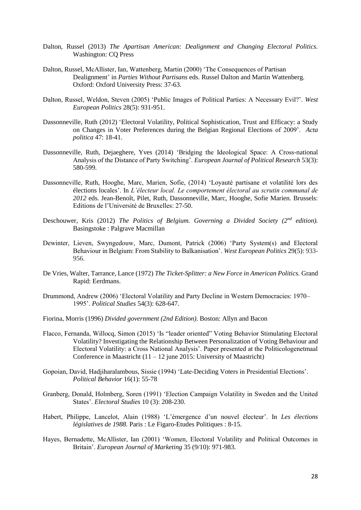- Dalton, Russel (2013) *The Apartisan American: Dealignment and Changing Electoral Politics.*  Washington: CQ Press
- Dalton, Russel, McAllister, Ian, Wattenberg, Martin (2000) 'The Consequences of Partisan Dealignment' in *Parties Without Partisans* eds. Russel Dalton and Martin Wattenberg. Oxford: Oxford University Press: 37-63.
- Dalton, Russel, Weldon, Steven (2005) 'Public Images of Political Parties: A Necessary Evil?'. *West European Politics* 28(5): 931-951.
- Dassonneville, Ruth (2012) 'Electoral Volatility, Political Sophistication, Trust and Efficacy: a Study on Changes in Voter Preferences during the Belgian Regional Elections of 2009'. *Acta politica* 47: 18-41.
- Dassonneville, Ruth, Dejaeghere, Yves (2014) ['Bridging the Ideological Space: A Cross-national](http://onlinelibrary.wiley.com/doi/10.1111/1475-6765.12049/abstract)  [Analysis of the Distance of Party Switching'.](http://onlinelibrary.wiley.com/doi/10.1111/1475-6765.12049/abstract) *European Journal of Political Research* 53(3): 580-599.
- Dassonneville, Ruth, Hooghe, Marc, Marien, Sofie, (2014) 'Loyauté partisane et volatilité lors des élections locales'. In *L'électeur local. Le comportement électoral au scrutin communal de 2012* eds. Jean-Benoît, Pilet, Ruth, Dassonneville, Marc, Hooghe, Sofie Marien. Brussels: Editions de l'Université de Bruxelles: 27-50.
- Deschouwer, Kris (2012) *The Politics of Belgium. Governing a Divided Society (2nd edition).* Basingstoke : Palgrave Macmillan
- Dewinter, Lieven, Swyngedouw, Marc, Dumont, Patrick (2006) 'Party System(s) and Electoral Behaviour in Belgium: From Stability to Balkanisation'. *West European Politics* 29(5): 933- 956.
- De Vries, Walter, Tarrance, Lance (1972) *The Ticket-Splitter: a New Force in American Politics.* Grand Rapid: Eerdmans.
- Drummond, Andrew (2006) 'Electoral Volatility and Party Decline in Western Democracies: 1970– 1995'. *Political Studies* 54(3): 628-647.
- Fiorina, Morris (1996) *Divided government (2nd Edition)*. Boston: Allyn and Bacon
- Flacco, Fernanda, Willocq, Simon (2015) 'Is "leader oriented" Voting Behavior Stimulating Electoral Volatility? Investigating the Relationship Between Personalization of Voting Behaviour and Electoral Volatility: a Cross National Analysis'. Paper presented at the Politicologenetmaal Conference in Maastricht  $(11 - 12)$  june 2015: University of Maastricht)
- Gopoian, David, Hadjiharalambous, Sissie (1994) 'Late-Deciding Voters in Presidential Elections'. *Political Behavior* 16(1): 55-78
- Granberg, Donald, Holmberg, Soren (1991) 'Election Campaign Volatility in Sweden and the United States'. *Electoral Studies* 10 (3): 208-230.
- Habert, Philippe, Lancelot, Alain (1988) 'L'émergence d'un nouvel électeur'. In *Les élections législatives de 1988.* Paris : Le Figaro-Etudes Politiques : 8-15.
- Hayes, Bernadette, McAllister, Ian (2001) 'Women, Electoral Volatility and Political Outcomes in Britain'. *European Journal of Marketing* 35 (9/10): 971-983.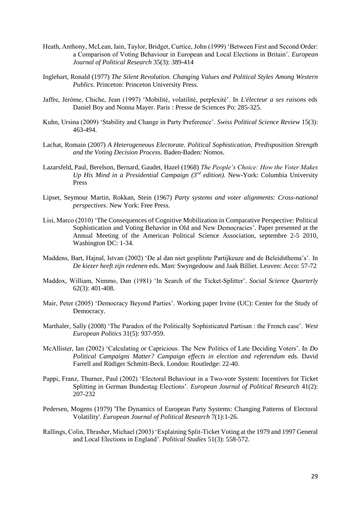- Heath, Anthony, McLean, Iain, Taylor, Bridget, Curtice, John (1999) 'Between First and Second Order: a Comparison of Voting Behaviour in European and Local Elections in Britain'. *European Journal of Political Research* 35(3): 389-414
- Inglehart, Ronald (1977) *The Silent Revolution. Changing Values and Political Styles Among Western Publics*. Princeton: Princeton University Press.
- Jaffre, Jérôme, Chiche, Jean (1997) 'Mobilité, volatilité, perplexité'. In *L'électeur a ses raisons* eds Daniel Boy and Nonna Mayer. Paris : Presse de Sciences Po: 285-325.
- Kuhn, Ursina (2009) 'Stability and Change in Party Preference'. *Swiss Political Science Review* 15(3): 463-494.
- Lachat, Romain (2007) *A Heterogeneous Electorate. Political Sophistication, Predisposition Strength and the Voting Decision Proces*s. Baden-Baden: Nomos.
- Lazarsfeld, Paul, Berelson, Bernard, Gaudet, Hazel (1968) *The People's Choice: How the Voter Makes Up His Mind in a Presidential Campaign (3rd edition).* New-York: Columbia University Press
- Lipset, Seymour Martin, Rokkan, Stein (1967) *Party systems and voter alignments: Cross-national perspectives*. New York: Free Press.
- Lisi, Marco (2010) 'The Consequences of Cognitive Mobilization in Comparative Perspective: Political Sophistication and Voting Behavior in Old and New Democracies'. Paper presented at the Annual Meeting of the American Political Science Association, septembre 2-5 2010, Washington DC: 1-34.
- Maddens, Bart, Hajnal, Istvan (2002) 'De al dan niet gesplitste Partijkeuze and de Beleidsthema's'. In *De kiezer heeft zijn redenen* eds. Marc Swyngedouw and Jaak Billiet. Leuven: Acco: 57-72
- Maddox, William, Nimmo, Dan (1981) 'In Search of the Ticket-Splitter'. *Social Science Quarterly*  62(3): 401-408.
- Mair, Peter (2005) 'Democracy Beyond Parties'. Working paper Irvine (UC): Center for the Study of Democracy.
- Marthaler, Sally (2008) 'The Paradox of the Politically Sophisticated Partisan : the French case'. *West European Politics* 31(5): 937-959.
- McAllister, Ian (2002) 'Calculating or Capricious. The New Politics of Late Deciding Voters'. In *Do Political Campaigns Matter? Campaign effects in election and referendum* eds. David Farrell and Rüdiger Schmitt-Beck. London: Routledge: 22-40.
- Pappi, Franz, Thurner, Paul (2002) 'Electoral Behaviour in a Two-vote System: Incentives for Ticket Splitting in German Bundestag Elections'. *European Journal of Political Research* 41(2): 207-232
- Pedersen, Mogens (1979) 'The Dynamics of European Party Systems: Changing Patterns of Electoral Volatility'. *European Journal of Political Research* 7(1):1-26.
- Rallings, Colin, Thrasher, Michael (2003) 'Explaining Split-Ticket Voting at the 1979 and 1997 General and Local Elections in England'. *Political Studies* 51(3): 558-572.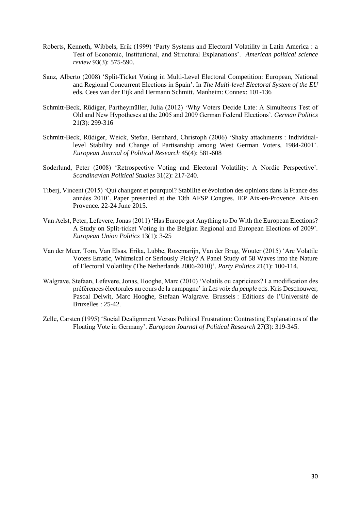- Roberts, Kenneth, Wibbels, Erik (1999) 'Party Systems and Electoral Volatility in Latin America : a Test of Economic, Institutional, and Structural Explanations'. *American political science review* 93(3): 575-590.
- Sanz, Alberto (2008) 'Split-Ticket Voting in Multi-Level Electoral Competition: European, National and Regional Concurrent Elections in Spain'. In *The Multi-level Electoral System of the EU* eds. Cees van der Eijk and Hermann Schmitt. Manheim: Connex: 101-136
- Schmitt-Beck, Rüdiger, Partheymüller, Julia (2012) 'Why Voters Decide Late: A Simulteous Test of Old and New Hypotheses at the 2005 and 2009 German Federal Elections'. *German Politics*  21(3): 299-316
- Schmitt-Beck, Rüdiger, Weick, Stefan, Bernhard, Christoph (2006) 'Shaky attachments : Individuallevel Stability and Change of Partisanship among West German Voters, 1984-2001'. *European Journal of Political Research* 45(4): 581-608
- Soderlund, Peter (2008) 'Retrospective Voting and Electoral Volatility: A Nordic Perspective'. *Scandinavian Political Studies* 31(2): 217-240.
- Tiberj, Vincent (2015) 'Qui changent et pourquoi? Stabilité et évolution des opinions dans la France des années 2010'. Paper presented at the 13th AFSP Congres. IEP Aix-en-Provence. Aix-en Provence. 22-24 June 2015.
- Van Aelst, Peter, Lefevere, Jonas (2011) 'Has Europe got Anything to Do With the European Elections? A Study on Split-ticket Voting in the Belgian Regional and European Elections of 2009'. *European Union Politics* 13(1): 3-25
- Van der Meer, Tom, Van Elsas, Erika, Lubbe, Rozemarijn, Van der Brug, Wouter (2015) 'Are Volatile Voters Erratic, Whimsical or Seriously Picky? A Panel Study of 58 Waves into the Nature of Electoral Volatility (The Netherlands 2006-2010)'. *Party Politics* 21(1): 100-114.
- Walgrave, Stefaan, Lefevere, Jonas, Hooghe, Marc (2010) 'Volatils ou capricieux? La modification des préférences électorales au cours de la campagne' in *Les voix du peuple* eds. Kris Deschouwer, Pascal Delwit, Marc Hooghe, Stefaan Walgrave. Brussels : Editions de l'Université de Bruxelles : 25-42.
- Zelle, Carsten (1995) 'Social Dealignment Versus Political Frustration: Contrasting Explanations of the Floating Vote in Germany'. *European Journal of Political Research* 27(3): 319-345.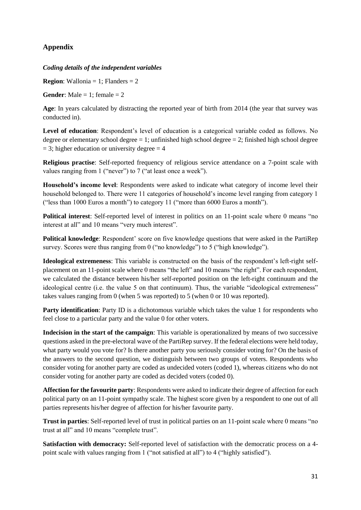# **Appendix**

## *Coding details of the independent variables*

**Region**: Wallonia = 1; Flanders =  $2$ 

**Gender:** Male  $= 1$ ; female  $= 2$ 

**Age**: In years calculated by distracting the reported year of birth from 2014 (the year that survey was conducted in).

**Level of education**: Respondent's level of education is a categorical variable coded as follows. No degree or elementary school degree  $= 1$ ; unfinished high school degree  $= 2$ ; finished high school degree  $= 3$ ; higher education or university degree  $= 4$ 

**Religious practise**: Self-reported frequency of religious service attendance on a 7-point scale with values ranging from 1 ("never") to 7 ("at least once a week").

**Household's income level**: Respondents were asked to indicate what category of income level their household belonged to. There were 11 categories of household's income level ranging from category 1 ("less than 1000 Euros a month") to category 11 ("more than 6000 Euros a month").

**Political interest**: Self-reported level of interest in politics on an 11-point scale where 0 means "no interest at all" and 10 means "very much interest".

**Political knowledge**: Respondent' score on five knowledge questions that were asked in the PartiRep survey. Scores were thus ranging from 0 ("no knowledge") to 5 ("high knowledge").

**Ideological extremeness**: This variable is constructed on the basis of the respondent's left-right selfplacement on an 11-point scale where 0 means "the left" and 10 means "the right". For each respondent, we calculated the distance between his/her self-reported position on the left-right continuum and the ideological centre (i.e. the value 5 on that continuum). Thus, the variable "ideological extremeness" takes values ranging from 0 (when 5 was reported) to 5 (when 0 or 10 was reported).

**Party identification**: Party ID is a dichotomous variable which takes the value 1 for respondents who feel close to a particular party and the value 0 for other voters.

**Indecision in the start of the campaign**: This variable is operationalized by means of two successive questions asked in the pre-electoral wave of the PartiRep survey. If the federal elections were held today, what party would you vote for? Is there another party you seriously consider voting for? On the basis of the answers to the second question, we distinguish between two groups of voters. Respondents who consider voting for another party are coded as undecided voters (coded 1), whereas citizens who do not consider voting for another party are coded as decided voters (coded 0).

**Affection for the favourite party**: Respondents were asked to indicate their degree of affection for each political party on an 11-point sympathy scale. The highest score given by a respondent to one out of all parties represents his/her degree of affection for his/her favourite party.

**Trust in parties**: Self-reported level of trust in political parties on an 11-point scale where 0 means "no trust at all" and 10 means "complete trust".

**Satisfaction with democracy:** Self-reported level of satisfaction with the democratic process on a 4 point scale with values ranging from 1 ("not satisfied at all") to 4 ("highly satisfied").